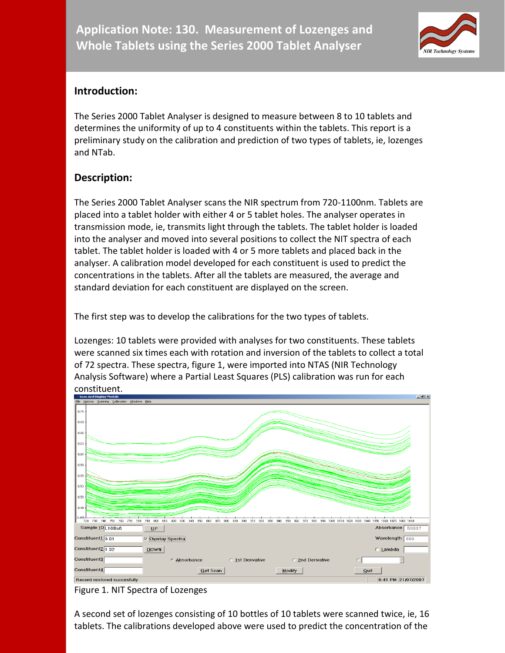

### **Introduction:**

The Series 2000 Tablet Analyser is designed to measure between 8 to 10 tablets and determines the uniformity of up to 4 constituents within the tablets. This report is a preliminary study on the calibration and prediction of two types of tablets, ie, lozenges and NTab.

# **Description:**

The Series 2000 Tablet Analyser scans the NIR spectrum from 720-1100nm. Tablets are placed into a tablet holder with either 4 or 5 tablet holes. The analyser operates in transmission mode, ie, transmits light through the tablets. The tablet holder is loaded into the analyser and moved into several positions to collect the NIT spectra of each tablet. The tablet holder is loaded with 4 or 5 more tablets and placed back in the analyser. A calibration model developed for each constituent is used to predict the concentrations in the tablets. After all the tablets are measured, the average and standard deviation for each constituent are displayed on the screen.

The first step was to develop the calibrations for the two types of tablets.

Lozenges: 10 tablets were provided with analyses for two constituents. These tablets were scanned six times each with rotation and inversion of the tablets to collect a total of 72 spectra. These spectra, figure 1, were imported into NTAS (NIR Technology Analysis Software) where a Partial Least Squares (PLS) calibration was run for each constituent.



Figure 1. NIT Spectra of Lozenges

A second set of lozenges consisting of 10 bottles of 10 tablets were scanned twice, ie, 16 tablets. The calibrations developed above were used to predict the concentration of the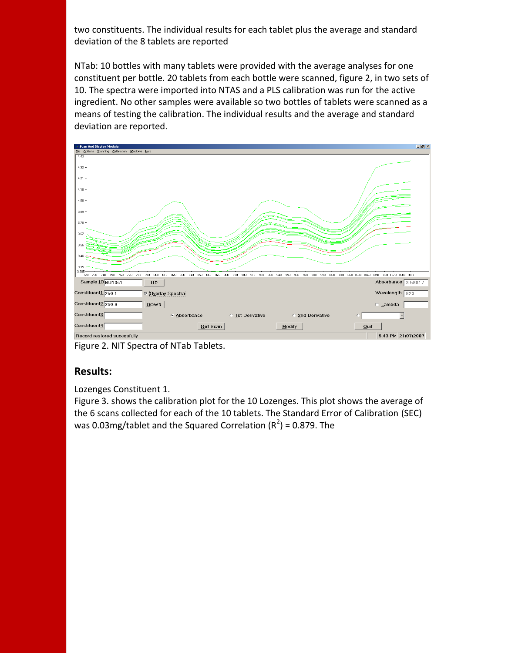two constituents. The individual results for each tablet plus the average and standard deviation of the 8 tablets are reported

NTab: 10 bottles with many tablets were provided with the average analyses for one constituent per bottle. 20 tablets from each bottle were scanned, figure 2, in two sets of 10. The spectra were imported into NTAS and a PLS calibration was run for the active ingredient. No other samples were available so two bottles of tablets were scanned as a means of testing the calibration. The individual results and the average and standard deviation are reported.



Figure 2. NIT Spectra of NTab Tablets.

### **Results:**

Lozenges Constituent 1.

Figure 3. shows the calibration plot for the 10 Lozenges. This plot shows the average of the 6 scans collected for each of the 10 tablets. The Standard Error of Calibration (SEC) was 0.03mg/tablet and the Squared Correlation ( $R^2$ ) = 0.879. The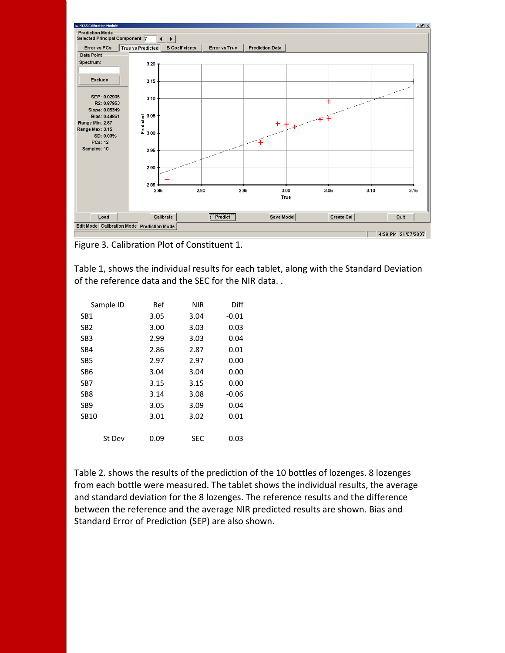

Figure 3. Calibration Plot of Constituent 1.

Table 1, shows the individual results for each tablet, along with the Standard Deviation of the reference data and the SEC for the NIR data. .

| Sample ID        | Ref  | <b>NIR</b> | Diff    |
|------------------|------|------------|---------|
| SB <sub>1</sub>  | 3.05 | 3.04       | $-0.01$ |
| SB <sub>2</sub>  | 3.00 | 3.03       | 0.03    |
| SB <sub>3</sub>  | 2.99 | 3.03       | 0.04    |
| SB4              | 2.86 | 2.87       | 0.01    |
| SB <sub>5</sub>  | 2.97 | 2.97       | 0.00    |
| SB6              | 3.04 | 3.04       | 0.00    |
| SB7              | 3.15 | 3.15       | 0.00    |
| SB <sub>8</sub>  | 3.14 | 3.08       | $-0.06$ |
| SB <sub>9</sub>  | 3.05 | 3.09       | 0.04    |
| SB <sub>10</sub> | 3.01 | 3.02       | 0.01    |
|                  |      |            |         |
| St Dev           | 0.09 | SEC        | 0.03    |

Table 2. shows the results of the prediction of the 10 bottles of lozenges. 8 lozenges from each bottle were measured. The tablet shows the individual results, the average and standard deviation for the 8 lozenges. The reference results and the difference between the reference and the average NIR predicted results are shown. Bias and Standard Error of Prediction (SEP) are also shown.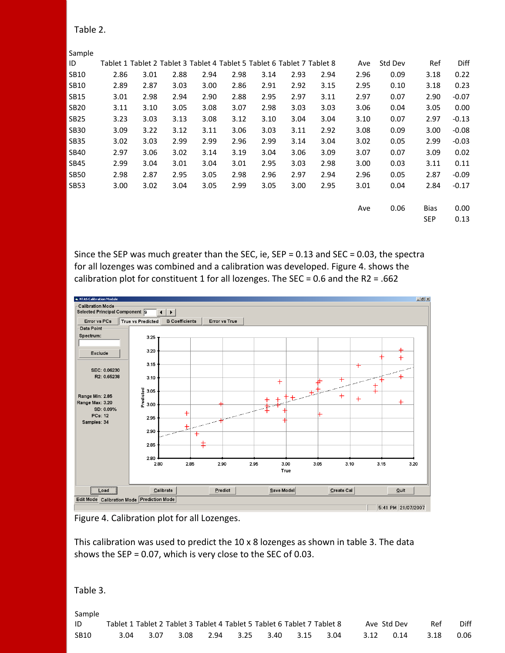| Sample      |                                                                         |      |      |      |      |      |      |      |      |         |             |         |
|-------------|-------------------------------------------------------------------------|------|------|------|------|------|------|------|------|---------|-------------|---------|
| ID          | Tablet 1 Tablet 2 Tablet 3 Tablet 4 Tablet 5 Tablet 6 Tablet 7 Tablet 8 |      |      |      |      |      |      |      | Ave  | Std Dev | Ref         | Diff    |
| <b>SB10</b> | 2.86                                                                    | 3.01 | 2.88 | 2.94 | 2.98 | 3.14 | 2.93 | 2.94 | 2.96 | 0.09    | 3.18        | 0.22    |
| <b>SB10</b> | 2.89                                                                    | 2.87 | 3.03 | 3.00 | 2.86 | 2.91 | 2.92 | 3.15 | 2.95 | 0.10    | 3.18        | 0.23    |
| <b>SB15</b> | 3.01                                                                    | 2.98 | 2.94 | 2.90 | 2.88 | 2.95 | 2.97 | 3.11 | 2.97 | 0.07    | 2.90        | $-0.07$ |
| <b>SB20</b> | 3.11                                                                    | 3.10 | 3.05 | 3.08 | 3.07 | 2.98 | 3.03 | 3.03 | 3.06 | 0.04    | 3.05        | 0.00    |
| <b>SB25</b> | 3.23                                                                    | 3.03 | 3.13 | 3.08 | 3.12 | 3.10 | 3.04 | 3.04 | 3.10 | 0.07    | 2.97        | $-0.13$ |
| <b>SB30</b> | 3.09                                                                    | 3.22 | 3.12 | 3.11 | 3.06 | 3.03 | 3.11 | 2.92 | 3.08 | 0.09    | 3.00        | $-0.08$ |
| <b>SB35</b> | 3.02                                                                    | 3.03 | 2.99 | 2.99 | 2.96 | 2.99 | 3.14 | 3.04 | 3.02 | 0.05    | 2.99        | $-0.03$ |
| <b>SB40</b> | 2.97                                                                    | 3.06 | 3.02 | 3.14 | 3.19 | 3.04 | 3.06 | 3.09 | 3.07 | 0.07    | 3.09        | 0.02    |
| <b>SB45</b> | 2.99                                                                    | 3.04 | 3.01 | 3.04 | 3.01 | 2.95 | 3.03 | 2.98 | 3.00 | 0.03    | 3.11        | 0.11    |
| <b>SB50</b> | 2.98                                                                    | 2.87 | 2.95 | 3.05 | 2.98 | 2.96 | 2.97 | 2.94 | 2.96 | 0.05    | 2.87        | $-0.09$ |
| <b>SB53</b> | 3.00                                                                    | 3.02 | 3.04 | 3.05 | 2.99 | 3.05 | 3.00 | 2.95 | 3.01 | 0.04    | 2.84        | $-0.17$ |
|             |                                                                         |      |      |      |      |      |      |      |      |         |             |         |
|             |                                                                         |      |      |      |      |      |      |      | Ave  | 0.06    | <b>Bias</b> | 0.00    |
|             |                                                                         |      |      |      |      |      |      |      |      |         | <b>SEP</b>  | 0.13    |

Since the SEP was much greater than the SEC, ie, SEP = 0.13 and SEC = 0.03, the spectra for all lozenges was combined and a calibration was developed. Figure 4. shows the calibration plot for constituent 1 for all lozenges. The SEC = 0.6 and the R2 = .662



Figure 4. Calibration plot for all Lozenges.

This calibration was used to predict the 10 x 8 lozenges as shown in table 3. The data shows the SEP = 0.07, which is very close to the SEC of 0.03.

#### Table 3.

Sample ID Tablet 1 Tablet 2 Tablet 3 Tablet 4 Tablet 5 Tablet 6 Tablet 7 Tablet 8 Ave Std Dev Ref Diff SB10 3.04 3.07 3.08 2.94 3.25 3.40 3.15 3.04 3.12 0.14 3.18 0.06

#### Table 2.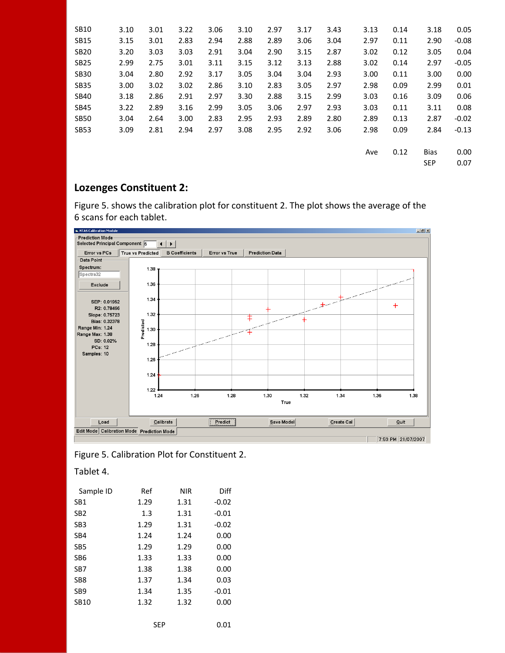| <b>SB10</b> | 3.10 | 3.01 | 3.22 | 3.06 | 3.10 | 2.97 | 3.17 | 3.43 | 3.13 | 0.14 | 3.18        | 0.05    |
|-------------|------|------|------|------|------|------|------|------|------|------|-------------|---------|
| <b>SB15</b> | 3.15 | 3.01 | 2.83 | 2.94 | 2.88 | 2.89 | 3.06 | 3.04 | 2.97 | 0.11 | 2.90        | $-0.08$ |
| <b>SB20</b> | 3.20 | 3.03 | 3.03 | 2.91 | 3.04 | 2.90 | 3.15 | 2.87 | 3.02 | 0.12 | 3.05        | 0.04    |
| <b>SB25</b> | 2.99 | 2.75 | 3.01 | 3.11 | 3.15 | 3.12 | 3.13 | 2.88 | 3.02 | 0.14 | 2.97        | $-0.05$ |
| <b>SB30</b> | 3.04 | 2.80 | 2.92 | 3.17 | 3.05 | 3.04 | 3.04 | 2.93 | 3.00 | 0.11 | 3.00        | 0.00    |
| <b>SB35</b> | 3.00 | 3.02 | 3.02 | 2.86 | 3.10 | 2.83 | 3.05 | 2.97 | 2.98 | 0.09 | 2.99        | 0.01    |
| <b>SB40</b> | 3.18 | 2.86 | 2.91 | 2.97 | 3.30 | 2.88 | 3.15 | 2.99 | 3.03 | 0.16 | 3.09        | 0.06    |
| <b>SB45</b> | 3.22 | 2.89 | 3.16 | 2.99 | 3.05 | 3.06 | 2.97 | 2.93 | 3.03 | 0.11 | 3.11        | 0.08    |
| <b>SB50</b> | 3.04 | 2.64 | 3.00 | 2.83 | 2.95 | 2.93 | 2.89 | 2.80 | 2.89 | 0.13 | 2.87        | $-0.02$ |
| <b>SB53</b> | 3.09 | 2.81 | 2.94 | 2.97 | 3.08 | 2.95 | 2.92 | 3.06 | 2.98 | 0.09 | 2.84        | $-0.13$ |
|             |      |      |      |      |      |      |      |      |      |      |             |         |
|             |      |      |      |      |      |      |      |      | Ave  | 0.12 | <b>Bias</b> | 0.00    |
|             |      |      |      |      |      |      |      |      |      |      | <b>SEP</b>  | 0.07    |

# **Lozenges Constituent 2:**

Figure 5. shows the calibration plot for constituent 2. The plot shows the average of the 6 scans for each tablet.



#### Figure 5. Calibration Plot for Constituent 2.

Tablet 4.

| Sample ID       | Ref  | NIR  | Diff    |
|-----------------|------|------|---------|
| SB1             | 1.29 | 1.31 | $-0.02$ |
| SB <sub>2</sub> | 1.3  | 1.31 | $-0.01$ |
| SB <sub>3</sub> | 1.29 | 1.31 | $-0.02$ |
| SB4             | 1.24 | 1.24 | 0.00    |
| SB <sub>5</sub> | 1.29 | 1.29 | 0.00    |
| SB <sub>6</sub> | 1.33 | 1.33 | 0.00    |
| SB <sub>7</sub> | 1.38 | 1.38 | 0.00    |
| SB8             | 1.37 | 1.34 | 0.03    |
| SB <sub>9</sub> | 1.34 | 1.35 | $-0.01$ |
| SB10            | 1.32 | 1.32 | 0.00    |
|                 |      |      |         |
|                 | SEP  |      | 0.01    |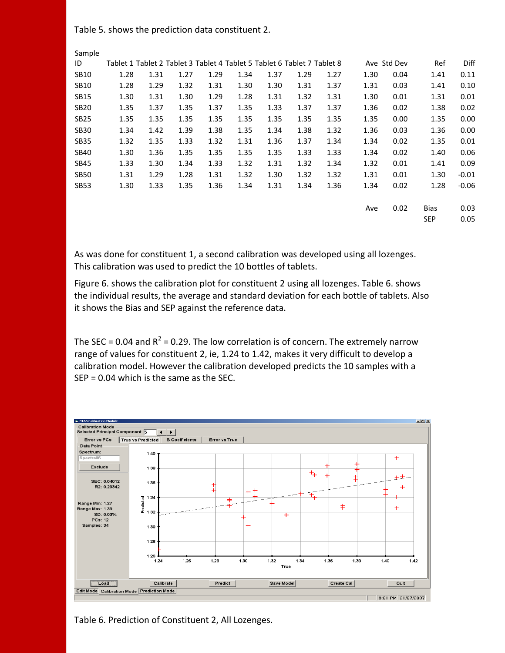Table 5. shows the prediction data constituent 2.

Sample

| ID          |      |      |      |      | Tablet 1 Tablet 2 Tablet 3 Tablet 4 Tablet 5 Tablet 6 Tablet 7 Tablet 8 |      |      |      |      | Ave Std Dev | Ref         | Diff    |
|-------------|------|------|------|------|-------------------------------------------------------------------------|------|------|------|------|-------------|-------------|---------|
| <b>SB10</b> | 1.28 | 1.31 | 1.27 | 1.29 | 1.34                                                                    | 1.37 | 1.29 | 1.27 | 1.30 | 0.04        | 1.41        | 0.11    |
| <b>SB10</b> | 1.28 | 1.29 | 1.32 | 1.31 | 1.30                                                                    | 1.30 | 1.31 | 1.37 | 1.31 | 0.03        | 1.41        | 0.10    |
| <b>SB15</b> | 1.30 | 1.31 | 1.30 | 1.29 | 1.28                                                                    | 1.31 | 1.32 | 1.31 | 1.30 | 0.01        | 1.31        | 0.01    |
| <b>SB20</b> | 1.35 | 1.37 | 1.35 | 1.37 | 1.35                                                                    | 1.33 | 1.37 | 1.37 | 1.36 | 0.02        | 1.38        | 0.02    |
| <b>SB25</b> | 1.35 | 1.35 | 1.35 | 1.35 | 1.35                                                                    | 1.35 | 1.35 | 1.35 | 1.35 | 0.00        | 1.35        | 0.00    |
| <b>SB30</b> | 1.34 | 1.42 | 1.39 | 1.38 | 1.35                                                                    | 1.34 | 1.38 | 1.32 | 1.36 | 0.03        | 1.36        | 0.00    |
| <b>SB35</b> | 1.32 | 1.35 | 1.33 | 1.32 | 1.31                                                                    | 1.36 | 1.37 | 1.34 | 1.34 | 0.02        | 1.35        | 0.01    |
| <b>SB40</b> | 1.30 | 1.36 | 1.35 | 1.35 | 1.35                                                                    | 1.35 | 1.33 | 1.33 | 1.34 | 0.02        | 1.40        | 0.06    |
| <b>SB45</b> | 1.33 | 1.30 | 1.34 | 1.33 | 1.32                                                                    | 1.31 | 1.32 | 1.34 | 1.32 | 0.01        | 1.41        | 0.09    |
| <b>SB50</b> | 1.31 | 1.29 | 1.28 | 1.31 | 1.32                                                                    | 1.30 | 1.32 | 1.32 | 1.31 | 0.01        | 1.30        | $-0.01$ |
| <b>SB53</b> | 1.30 | 1.33 | 1.35 | 1.36 | 1.34                                                                    | 1.31 | 1.34 | 1.36 | 1.34 | 0.02        | 1.28        | $-0.06$ |
|             |      |      |      |      |                                                                         |      |      |      |      |             |             |         |
|             |      |      |      |      |                                                                         |      |      |      | Ave  | 0.02        | <b>Bias</b> | 0.03    |
|             |      |      |      |      |                                                                         |      |      |      |      |             | <b>SEP</b>  | 0.05    |

As was done for constituent 1, a second calibration was developed using all lozenges. This calibration was used to predict the 10 bottles of tablets.

Figure 6. shows the calibration plot for constituent 2 using all lozenges. Table 6. shows the individual results, the average and standard deviation for each bottle of tablets. Also it shows the Bias and SEP against the reference data.

The SEC = 0.04 and  $R^2$  = 0.29. The low correlation is of concern. The extremely narrow range of values for constituent 2, ie, 1.24 to 1.42, makes it very difficult to develop a calibration model. However the calibration developed predicts the 10 samples with a SEP = 0.04 which is the same as the SEC.



Table 6. Prediction of Constituent 2, All Lozenges.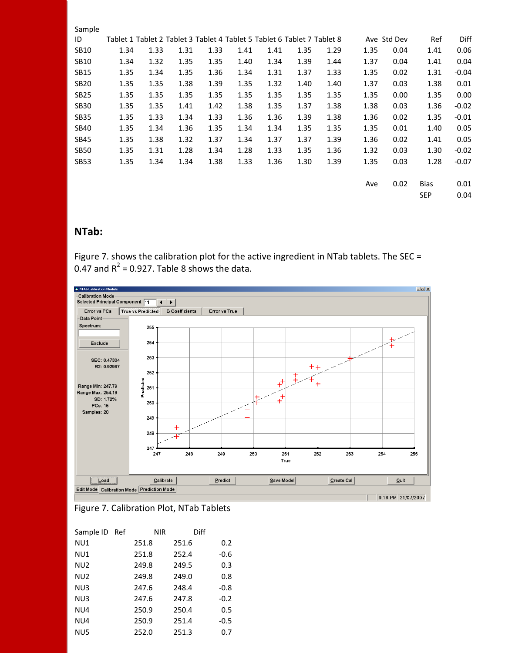|      |      |              |      |                      |                                                                      |      |      |                                                                                                                                                                 |      | Ref                                                                                                        | Diff    |
|------|------|--------------|------|----------------------|----------------------------------------------------------------------|------|------|-----------------------------------------------------------------------------------------------------------------------------------------------------------------|------|------------------------------------------------------------------------------------------------------------|---------|
| 1.34 | 1.33 | 1.31         |      | 1.41                 | 1.41                                                                 |      | 1.29 |                                                                                                                                                                 | 0.04 | 1.41                                                                                                       | 0.06    |
|      | 1.32 | 1.35         |      |                      | 1.34                                                                 |      | 1.44 |                                                                                                                                                                 | 0.04 | 1.41                                                                                                       | 0.04    |
| 1.35 | 1.34 | 1.35         |      | 1.34                 | 1.31                                                                 |      | 1.33 |                                                                                                                                                                 | 0.02 | 1.31                                                                                                       | $-0.04$ |
| 1.35 | 1.35 | 1.38         | 1.39 | 1.35                 | 1.32                                                                 |      | 1.40 |                                                                                                                                                                 | 0.03 | 1.38                                                                                                       | 0.01    |
| 1.35 | 1.35 |              |      | 1.35                 | 1.35                                                                 |      | 1.35 |                                                                                                                                                                 | 0.00 | 1.35                                                                                                       | 0.00    |
| 1.35 | 1.35 | 1.41         |      | 1.38                 | 1.35                                                                 |      | 1.38 |                                                                                                                                                                 | 0.03 | 1.36                                                                                                       | $-0.02$ |
| 1.35 | 1.33 | 1.34         |      | 1.36                 | 1.36                                                                 |      | 1.38 |                                                                                                                                                                 | 0.02 | 1.35                                                                                                       | $-0.01$ |
|      | 1.34 |              |      | 1.34                 | 1.34                                                                 |      | 1.35 |                                                                                                                                                                 | 0.01 | 1.40                                                                                                       | 0.05    |
| 1.35 | 1.38 | 1.32         | 1.37 | 1.34                 | 1.37                                                                 |      | 1.39 |                                                                                                                                                                 | 0.02 | 1.41                                                                                                       | 0.05    |
| 1.35 | 1.31 | 1.28         |      | 1.28                 | 1.33                                                                 |      | 1.36 |                                                                                                                                                                 | 0.03 | 1.30                                                                                                       | $-0.02$ |
| 1.35 | 1.34 |              |      | 1.33                 | 1.36                                                                 |      | 1.39 |                                                                                                                                                                 | 0.03 | 1.28                                                                                                       | $-0.07$ |
|      |      |              |      |                      |                                                                      |      |      |                                                                                                                                                                 |      |                                                                                                            |         |
|      |      |              |      |                      |                                                                      |      |      |                                                                                                                                                                 | 0.02 | <b>Bias</b>                                                                                                | 0.01    |
|      |      |              |      |                      |                                                                      |      |      |                                                                                                                                                                 |      | SEP                                                                                                        | 0.04    |
|      |      | 1.34<br>1.35 |      | 1.35<br>1.36<br>1.34 | 1.33<br>1.35<br>1.36<br>1.35<br>1.42<br>1.33<br>1.35<br>1.34<br>1.38 | 1.40 |      | Tablet 1 Tablet 2 Tablet 3 Tablet 4 Tablet 5 Tablet 6 Tablet 7 Tablet 8<br>1.35<br>1.39<br>1.37<br>1.40<br>1.35<br>1.37<br>1.39<br>1.35<br>1.37<br>1.35<br>1.30 |      | Ave Std Dev<br>1.35<br>1.37<br>1.35<br>1.37<br>1.35<br>1.38<br>1.36<br>1.35<br>1.36<br>1.32<br>1.35<br>Ave |         |

# **NTab:**

Figure 7. shows the calibration plot for the active ingredient in NTab tablets. The SEC = 0.47 and  $R^2$  = 0.927. Table 8 shows the data.





| Sample ID Ref   | NIR   | Diff  |        |
|-----------------|-------|-------|--------|
| NU1             | 251.8 | 251.6 | 0.2    |
| NU1             | 251.8 | 252.4 | $-0.6$ |
| NU <sub>2</sub> | 249.8 | 249.5 | 0.3    |
| NU <sub>2</sub> | 249.8 | 249.0 | 0.8    |
| NU3             | 247.6 | 248.4 | $-0.8$ |
| NU3             | 247.6 | 247.8 | $-0.2$ |
| NU4             | 250.9 | 250.4 | 0.5    |
| NU4             | 250.9 | 251.4 | $-0.5$ |
| NU <sub>5</sub> | 252.0 | 251.3 | 0.7    |
|                 |       |       |        |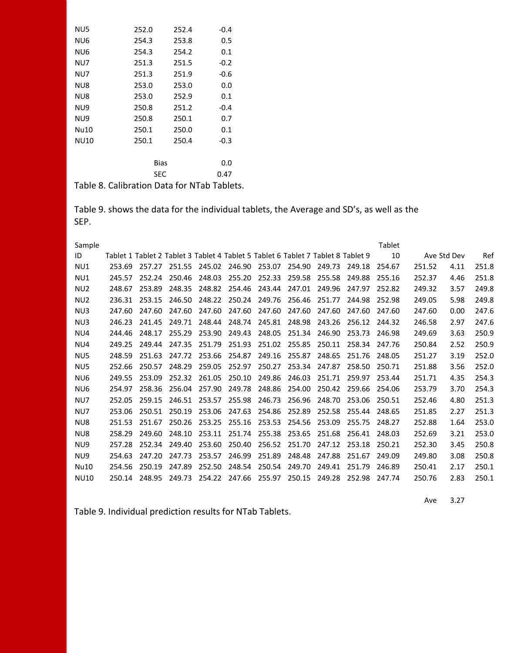| NU <sub>5</sub>       | 252.0           | 252.4 | $-0.4$ |
|-----------------------|-----------------|-------|--------|
| NU6                   | 254.3           | 253.8 | 0.5    |
| NU6                   | 254.3           | 254.2 | 0.1    |
| NU7                   | 251.3           | 251.5 | $-0.2$ |
| NU7                   | 251.3           | 251.9 | -0.6   |
| NU8                   | 253.0           | 253.0 | 0.0    |
| NU8                   | 253.0           | 252.9 | 0.1    |
| NU9                   | 250.8           | 251.2 | $-0.4$ |
| NU9                   | 250.8           | 250.1 | 0.7    |
| Nu10                  | 250.1           | 250.0 | 0.1    |
| NU10                  | 250.1           | 250.4 | $-0.3$ |
|                       |                 |       |        |
|                       |                 | Bias  | 0.0    |
|                       |                 | SEC   | 0.47   |
| $\cdots$<br>- ' ' ^ ^ | $\cdot$ $\cdot$ |       |        |

Table 8. Calibration Data for NTab Tablets.

Table 9. shows the data for the individual tablets, the Average and SD's, as well as the SEP.

| Sample          |                                                                                  |        |        |        |        |        |        |        |        | Tablet |             |      |       |
|-----------------|----------------------------------------------------------------------------------|--------|--------|--------|--------|--------|--------|--------|--------|--------|-------------|------|-------|
| ID              | Tablet 1 Tablet 2 Tablet 3 Tablet 4 Tablet 5 Tablet 6 Tablet 7 Tablet 8 Tablet 9 |        |        |        |        |        |        |        |        | 10     | Ave Std Dev |      | Ref   |
| NU1             | 253.69                                                                           | 257.27 | 251.55 | 245.02 | 246.90 | 253.07 | 254.90 | 249.73 | 249.18 | 254.67 | 251.52      | 4.11 | 251.8 |
| NU1             | 245.57                                                                           | 252.24 | 250.46 | 248.03 | 255.20 | 252.33 | 259.58 | 255.58 | 249.88 | 255.16 | 252.37      | 4.46 | 251.8 |
| NU <sub>2</sub> | 248.67                                                                           | 253.89 | 248.35 | 248.82 | 254.46 | 243.44 | 247.01 | 249.96 | 247.97 | 252.82 | 249.32      | 3.57 | 249.8 |
| NU <sub>2</sub> | 236.31                                                                           | 253.15 | 246.50 | 248.22 | 250.24 | 249.76 | 256.46 | 251.77 | 244.98 | 252.98 | 249.05      | 5.98 | 249.8 |
| NU3             | 247.60                                                                           | 247.60 | 247.60 | 247.60 | 247.60 | 247.60 | 247.60 | 247.60 | 247.60 | 247.60 | 247.60      | 0.00 | 247.6 |
| NU3             | 246.23                                                                           | 241.45 | 249.71 | 248.44 | 248.74 | 245.81 | 248.98 | 243.26 | 256.12 | 244.32 | 246.58      | 2.97 | 247.6 |
| NU4             | 244.46                                                                           | 248.17 | 255.29 | 253.90 | 249.43 | 248.05 | 251.34 | 246.90 | 253.73 | 246.98 | 249.69      | 3.63 | 250.9 |
| NU4             | 249.25                                                                           | 249.44 | 247.35 | 251.79 | 251.93 | 251.02 | 255.85 | 250.11 | 258.34 | 247.76 | 250.84      | 2.52 | 250.9 |
| NU <sub>5</sub> | 248.59                                                                           | 251.63 | 247.72 | 253.66 | 254.87 | 249.16 | 255.87 | 248.65 | 251.76 | 248.05 | 251.27      | 3.19 | 252.0 |
| NU <sub>5</sub> | 252.66                                                                           | 250.57 | 248.29 | 259.05 | 252.97 | 250.27 | 253.34 | 247.87 | 258.50 | 250.71 | 251.88      | 3.56 | 252.0 |
| NU <sub>6</sub> | 249.55                                                                           | 253.09 | 252.32 | 261.05 | 250.10 | 249.86 | 246.03 | 251.71 | 259.97 | 253.44 | 251.71      | 4.35 | 254.3 |
| NU <sub>6</sub> | 254.97                                                                           | 258.36 | 256.04 | 257.90 | 249.78 | 248.86 | 254.00 | 250.42 | 259.66 | 254.06 | 253.79      | 3.70 | 254.3 |
| NU7             | 252.05                                                                           | 259.15 | 246.51 | 253.57 | 255.98 | 246.73 | 256.96 | 248.70 | 253.06 | 250.51 | 252.46      | 4.80 | 251.3 |
| NU7             | 253.06                                                                           | 250.51 | 250.19 | 253.06 | 247.63 | 254.86 | 252.89 | 252.58 | 255.44 | 248.65 | 251.85      | 2.27 | 251.3 |
| NU8             | 251.53                                                                           | 251.67 | 250.26 | 253.25 | 255.16 | 253.53 | 254.56 | 253.09 | 255.75 | 248.27 | 252.88      | 1.64 | 253.0 |
| NU8             | 258.29                                                                           | 249.60 | 248.10 | 253.11 | 251.74 | 255.38 | 253.65 | 251.68 | 256.41 | 248.03 | 252.69      | 3.21 | 253.0 |
| NU9             | 257.28                                                                           | 252.34 | 249.40 | 253.60 | 250.40 | 256.52 | 251.70 | 247.12 | 253.18 | 250.21 | 252.30      | 3.45 | 250.8 |
| NU9             | 254.63                                                                           | 247.20 | 247.73 | 253.57 | 246.99 | 251.89 | 248.48 | 247.88 | 251.67 | 249.09 | 249.80      | 3.08 | 250.8 |
| Nu10            | 254.56                                                                           | 250.19 | 247.89 | 252.50 | 248.54 | 250.54 | 249.70 | 249.41 | 251.79 | 246.89 | 250.41      | 2.17 | 250.1 |
| NU10            | 250.14                                                                           | 248.95 | 249.73 | 254.22 | 247.66 | 255.97 | 250.15 | 249.28 | 252.98 | 247.74 | 250.76      | 2.83 | 250.1 |

Table 9. Individual prediction results for NTab Tablets.

Ave 3.27